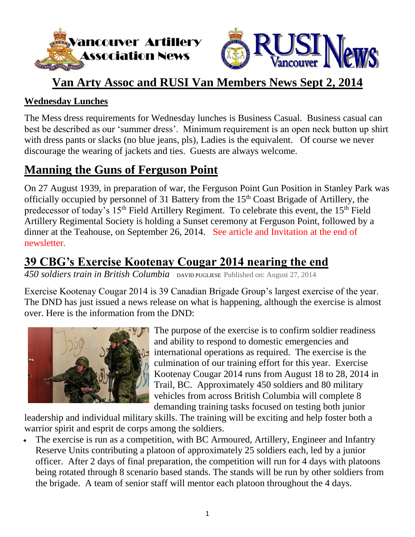



## **Van Arty Assoc and RUSI Van Members News Sept 2, 2014**

### **Wednesday Lunches**

The Mess dress requirements for Wednesday lunches is Business Casual. Business casual can best be described as our 'summer dress'. Minimum requirement is an open neck button up shirt with dress pants or slacks (no blue jeans, pls), Ladies is the equivalent. Of course we never discourage the wearing of jackets and ties. Guests are always welcome.

# **Manning the Guns of Ferguson Point**

On 27 August 1939, in preparation of war, the Ferguson Point Gun Position in Stanley Park was officially occupied by personnel of 31 Battery from the 15<sup>th</sup> Coast Brigade of Artillery, the predecessor of today's 15<sup>th</sup> Field Artillery Regiment. To celebrate this event, the 15<sup>th</sup> Field Artillery Regimental Society is holding a Sunset ceremony at Ferguson Point, followed by a dinner at the Teahouse, on September 26, 2014. See article and Invitation at the end of newsletter.

# **39 CBG's Exercise Kootenay Cougar 2014 nearing the end**

*450 soldiers train in British Columbia* DAVID PUGLIESE Published on: August 27, 2014

Exercise Kootenay Cougar 2014 is 39 Canadian Brigade Group's largest exercise of the year. The DND has just issued a news release on what is happening, although the exercise is almost over. Here is the information from the DND:



The purpose of the exercise is to confirm soldier readiness and ability to respond to domestic emergencies and international operations as required. The exercise is the culmination of our training effort for this year. Exercise Kootenay Cougar 2014 runs from August 18 to 28, 2014 in Trail, BC. Approximately 450 soldiers and 80 military vehicles from across British Columbia will complete 8 demanding training tasks focused on testing both junior

leadership and individual military skills. The training will be exciting and help foster both a warrior spirit and esprit de corps among the soldiers.

• The exercise is run as a competition, with BC Armoured, Artillery, Engineer and Infantry Reserve Units contributing a platoon of approximately 25 soldiers each, led by a junior officer. After 2 days of final preparation, the competition will run for 4 days with platoons being rotated through 8 scenario based stands. The stands will be run by other soldiers from the brigade. A team of senior staff will mentor each platoon throughout the 4 days.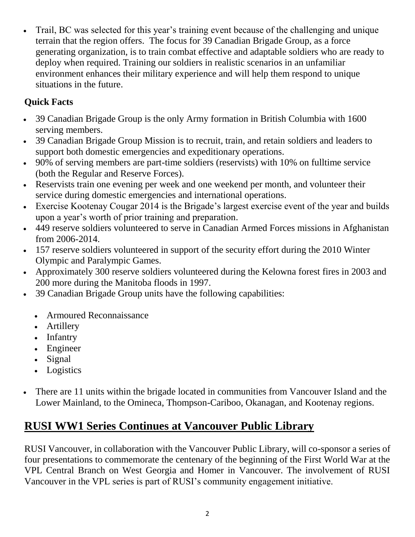Trail, BC was selected for this year's training event because of the challenging and unique terrain that the region offers. The focus for 39 Canadian Brigade Group, as a force generating organization, is to train combat effective and adaptable soldiers who are ready to deploy when required. Training our soldiers in realistic scenarios in an unfamiliar environment enhances their military experience and will help them respond to unique situations in the future.

## **Quick Facts**

- 39 Canadian Brigade Group is the only Army formation in British Columbia with 1600 serving members.
- 39 Canadian Brigade Group Mission is to recruit, train, and retain soldiers and leaders to support both domestic emergencies and expeditionary operations.
- 90% of serving members are part-time soldiers (reservists) with 10% on fulltime service (both the Regular and Reserve Forces).
- Reservists train one evening per week and one weekend per month, and volunteer their service during domestic emergencies and international operations.
- Exercise Kootenay Cougar 2014 is the Brigade's largest exercise event of the year and builds upon a year's worth of prior training and preparation.
- 449 reserve soldiers volunteered to serve in Canadian Armed Forces missions in Afghanistan from 2006-2014.
- 157 reserve soldiers volunteered in support of the security effort during the 2010 Winter Olympic and Paralympic Games.
- Approximately 300 reserve soldiers volunteered during the Kelowna forest fires in 2003 and 200 more during the Manitoba floods in 1997.
- 39 Canadian Brigade Group units have the following capabilities:
	- Armoured Reconnaissance
	- Artillery
	- Infantry
	- Engineer
	- Signal
	- Logistics
- There are 11 units within the brigade located in communities from Vancouver Island and the Lower Mainland, to the Omineca, Thompson-Cariboo, Okanagan, and Kootenay regions.

# **RUSI WW1 Series Continues at Vancouver Public Library**

RUSI Vancouver, in collaboration with the Vancouver Public Library, will co-sponsor a series of four presentations to commemorate the centenary of the beginning of the First World War at the VPL Central Branch on West Georgia and Homer in Vancouver. The involvement of RUSI Vancouver in the VPL series is part of RUSI's community engagement initiative.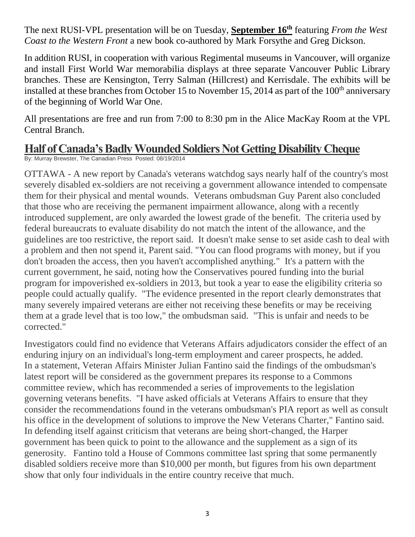The next RUSI-VPL presentation will be on Tuesday, **September 16th** featuring *From the West Coast to the Western Front* a new book co-authored by Mark Forsythe and Greg Dickson.

In addition RUSI, in cooperation with various Regimental museums in Vancouver, will organize and install First World War memorabilia displays at three separate Vancouver Public Library branches. These are Kensington, Terry Salman (Hillcrest) and Kerrisdale. The exhibits will be installed at these branches from October 15 to November 15, 2014 as part of the 100<sup>th</sup> anniversary of the beginning of World War One.

All presentations are free and run from 7:00 to 8:30 pm in the Alice MacKay Room at the VPL Central Branch.

## **Half of Canada's Badly Wounded Soldiers Not Getting Disability Cheque**

By: Murray Brewster, The Canadian Press Posted: 08/19/2014

OTTAWA - A new report by Canada's veterans watchdog says nearly half of the country's most severely disabled ex-soldiers are not receiving a government allowance intended to compensate them for their physical and mental wounds. Veterans ombudsman Guy Parent also concluded that those who are receiving the permanent impairment allowance, along with a recently introduced supplement, are only awarded the lowest grade of the benefit. The criteria used by federal bureaucrats to evaluate disability do not match the intent of the allowance, and the guidelines are too restrictive, the report said. It doesn't make sense to set aside cash to deal with a problem and then not spend it, Parent said. "You can flood programs with money, but if you don't broaden the access, then you haven't accomplished anything." It's a pattern with the current government, he said, noting how the Conservatives poured funding into the burial program for impoverished ex-soldiers in 2013, but took a year to ease the eligibility criteria so people could actually qualify. "The evidence presented in the report clearly demonstrates that many severely impaired veterans are either not receiving these benefits or may be receiving them at a grade level that is too low," the ombudsman said. "This is unfair and needs to be corrected."

Investigators could find no evidence that Veterans Affairs adjudicators consider the effect of an enduring injury on an individual's long-term employment and career prospects, he added. In a statement, Veteran Affairs Minister Julian Fantino said the findings of the ombudsman's latest report will be considered as the government prepares its response to a Commons committee review, which has recommended a series of improvements to the legislation governing veterans benefits. "I have asked officials at Veterans Affairs to ensure that they consider the recommendations found in the veterans ombudsman's PIA report as well as consult his office in the development of solutions to improve the New Veterans Charter," Fantino said. In defending itself against criticism that veterans are being short-changed, the Harper government has been quick to point to the allowance and the supplement as a sign of its generosity. Fantino told a House of Commons committee last spring that some permanently disabled soldiers receive more than \$10,000 per month, but figures from his own department show that only four individuals in the entire country receive that much.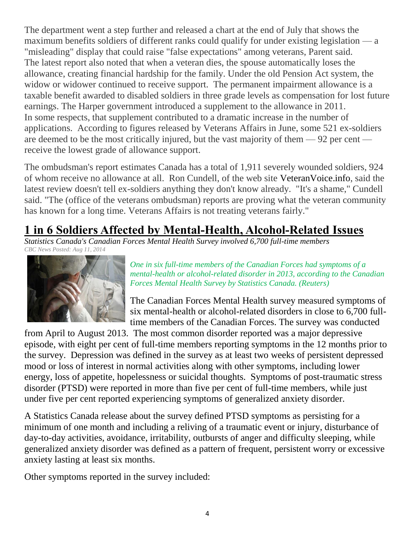The department went a step further and released a chart at the end of July that shows the maximum benefits soldiers of different ranks could qualify for under existing legislation — a "misleading" display that could raise "false expectations" among veterans, Parent said. The latest report also noted that when a veteran dies, the spouse automatically loses the allowance, creating financial hardship for the family. Under the old Pension Act system, the widow or widower continued to receive support. The permanent impairment allowance is a taxable benefit awarded to disabled soldiers in three grade levels as compensation for lost future earnings. The Harper government introduced a supplement to the allowance in 2011. In some respects, that supplement contributed to a dramatic increase in the number of applications. According to figures released by Veterans Affairs in June, some 521 ex-soldiers are deemed to be the most critically injured, but the vast majority of them — 92 per cent receive the lowest grade of allowance support.

The ombudsman's report estimates Canada has a total of 1,911 severely wounded soldiers, 924 of whom receive no allowance at all. Ron Cundell, of the web site VeteranVoice.info, said the latest review doesn't tell ex-soldiers anything they don't know already. "It's a shame," Cundell said. "The (office of the veterans ombudsman) reports are proving what the veteran community has known for a long time. Veterans Affairs is not treating veterans fairly."

# **1 in 6 Soldiers Affected by Mental-Health, Alcohol-Related Issues**

*Statistics Canada's Canadian Forces Mental Health Survey involved 6,700 full-time members [CBC News](http://www.cbc.ca/news/cbc-news-online-news-staff-list-1.1294364) Posted: Aug 11, 2014* 



*One in six full-time members of the Canadian Forces had symptoms of a mental-health or alcohol-related disorder in 2013, according to the Canadian Forces Mental Health Survey by Statistics Canada. (Reuters)*

The [Canadian Forces Mental Health survey](http://www.statcan.gc.ca/daily-quotidien/140811/dq140811a-eng.htm) measured symptoms of six mental-health or alcohol-related disorders in close to 6,700 fulltime members of the Canadian Forces. The survey was conducted

from April to August 2013. The most common disorder reported was a major depressive episode, with eight per cent of full-time members reporting symptoms in the 12 months prior to the survey. Depression was defined in the survey as at least two weeks of persistent depressed mood or loss of interest in normal activities along with other symptoms, including lower energy, loss of appetite, hopelessness or suicidal thoughts. Symptoms of post-traumatic stress disorder (PTSD) were reported in more than five per cent of full-time members, while just under five per cent reported experiencing symptoms of generalized anxiety disorder.

A Statistics Canada release about the survey defined PTSD symptoms as persisting for a minimum of one month and including a reliving of a traumatic event or injury, disturbance of day-to-day activities, avoidance, irritability, outbursts of anger and difficulty sleeping, while generalized anxiety disorder was defined as a pattern of frequent, persistent worry or excessive anxiety lasting at least six months.

Other symptoms reported in the survey included: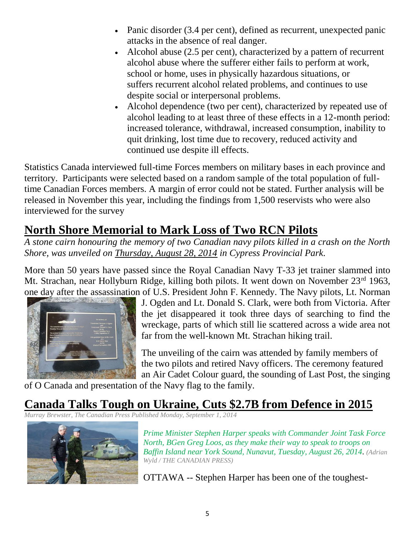- Panic disorder (3.4 per cent), defined as recurrent, unexpected panic attacks in the absence of real danger.
- Alcohol abuse (2.5 per cent), characterized by a pattern of recurrent alcohol abuse where the sufferer either fails to perform at work, school or home, uses in physically hazardous situations, or suffers recurrent alcohol related problems, and continues to use despite social or interpersonal problems.
- Alcohol dependence (two per cent), characterized by repeated use of alcohol leading to at least three of these effects in a 12-month period: increased tolerance, withdrawal, increased consumption, inability to quit drinking, lost time due to recovery, reduced activity and continued use despite ill effects.

Statistics Canada interviewed full-time Forces members on military bases in each province and territory. Participants were selected based on a random sample of the total population of fulltime Canadian Forces members. A margin of error could not be stated. Further analysis will be released in November this year, including the findings from 1,500 reservists who were also interviewed for the survey

# **North Shore Memorial to Mark Loss of Two RCN Pilots**

*A stone cairn honouring the memory of two Canadian navy pilots killed in a crash on the North Shore, was unveiled on Thursday, August 28, 2014 in Cypress Provincial Park.* 

More than 50 years have passed since the Royal Canadian Navy T-33 jet trainer slammed into Mt. Strachan, near Hollyburn Ridge, killing both pilots. It went down on November 23<sup>rd</sup> 1963, one day after the assassination of U.S. President John F. Kennedy. The Navy pilots, Lt. Norman



J. Ogden and Lt. Donald S. Clark, were both from Victoria. After the jet disappeared it took three days of searching to find the wreckage, parts of which still lie scattered across a wide area not far from the well-known Mt. Strachan hiking trail.

The unveiling of the cairn was attended by family members of the two pilots and retired Navy officers. The ceremony featured an Air Cadet Colour guard, the sounding of Last Post, the singing

of O Canada and presentation of the Navy flag to the family.

# **Canada Talks Tough on Ukraine, Cuts \$2.7B from Defence in 2015**

*Murray Brewster, The Canadian Press Published Monday, September 1, 2014*



*Prime Minister Stephen Harper speaks with Commander Joint Task Force North, BGen Greg Loos, as they make their way to speak to troops on Baffin Island near York Sound, Nunavut, Tuesday, August 26, 2014*. *(Adrian Wyld / THE CANADIAN PRESS)*

OTTAWA -- Stephen Harper has been one of the toughest-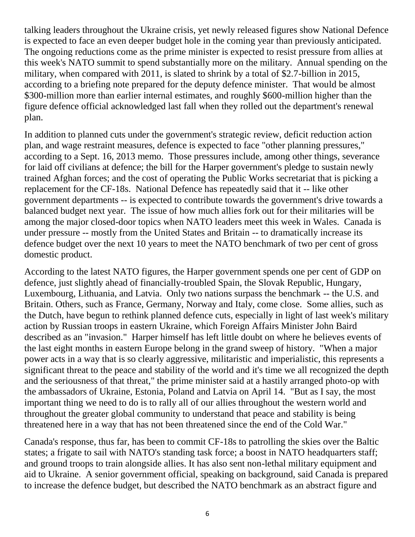talking leaders throughout the Ukraine crisis, yet newly released figures show National Defence is expected to face an even deeper budget hole in the coming year than previously anticipated. The ongoing reductions come as the prime minister is expected to resist pressure from allies at this week's NATO summit to spend substantially more on the military. Annual spending on the military, when compared with 2011, is slated to shrink by a total of \$2.7-billion in 2015, according to a briefing note prepared for the deputy defence minister. That would be almost \$300-million more than earlier internal estimates, and roughly \$600-million higher than the figure defence official acknowledged last fall when they rolled out the department's renewal plan.

In addition to planned cuts under the government's strategic review, deficit reduction action plan, and wage restraint measures, defence is expected to face "other planning pressures," according to a Sept. 16, 2013 memo. Those pressures include, among other things, severance for laid off civilians at defence; the bill for the Harper government's pledge to sustain newly trained Afghan forces; and the cost of operating the Public Works secretariat that is picking a replacement for the CF-18s. National Defence has repeatedly said that it -- like other government departments -- is expected to contribute towards the government's drive towards a balanced budget next year. The issue of how much allies fork out for their militaries will be among the major closed-door topics when NATO leaders meet this week in Wales. Canada is under pressure -- mostly from the United States and Britain -- to dramatically increase its defence budget over the next 10 years to meet the NATO benchmark of two per cent of gross domestic product.

According to the latest NATO figures, the Harper government spends one per cent of GDP on defence, just slightly ahead of financially-troubled Spain, the Slovak Republic, Hungary, Luxembourg, Lithuania, and Latvia. Only two nations surpass the benchmark -- the U.S. and Britain. Others, such as France, Germany, Norway and Italy, come close. Some allies, such as the Dutch, have begun to rethink planned defence cuts, especially in light of last week's military action by Russian troops in eastern Ukraine, which Foreign Affairs Minister John Baird described as an "invasion." Harper himself has left little doubt on where he believes events of the last eight months in eastern Europe belong in the grand sweep of history. "When a major power acts in a way that is so clearly aggressive, militaristic and imperialistic, this represents a significant threat to the peace and stability of the world and it's time we all recognized the depth and the seriousness of that threat," the prime minister said at a hastily arranged photo-op with the ambassadors of Ukraine, Estonia, Poland and Latvia on April 14. "But as I say, the most important thing we need to do is to rally all of our allies throughout the western world and throughout the greater global community to understand that peace and stability is being threatened here in a way that has not been threatened since the end of the Cold War."

Canada's response, thus far, has been to commit CF-18s to patrolling the skies over the Baltic states; a frigate to sail with NATO's standing task force; a boost in NATO headquarters staff; and ground troops to train alongside allies. It has also sent non-lethal military equipment and aid to Ukraine. A senior government official, speaking on background, said Canada is prepared to increase the defence budget, but described the NATO benchmark as an abstract figure and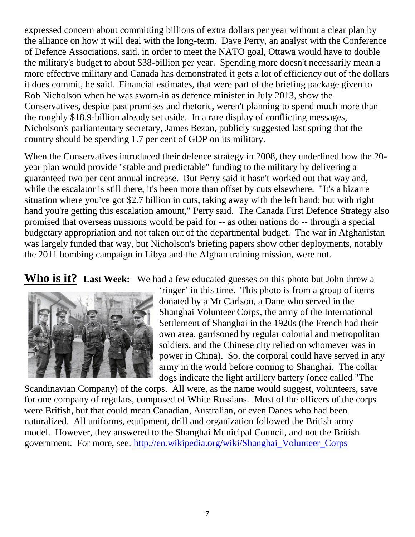expressed concern about committing billions of extra dollars per year without a clear plan by the alliance on how it will deal with the long-term. Dave Perry, an analyst with the Conference of Defence Associations, said, in order to meet the NATO goal, Ottawa would have to double the military's budget to about \$38-billion per year. Spending more doesn't necessarily mean a more effective military and Canada has demonstrated it gets a lot of efficiency out of the dollars it does commit, he said. Financial estimates, that were part of the briefing package given to Rob Nicholson when he was sworn-in as defence minister in July 2013, show the Conservatives, despite past promises and rhetoric, weren't planning to spend much more than the roughly \$18.9-billion already set aside. In a rare display of conflicting messages, Nicholson's parliamentary secretary, James Bezan, publicly suggested last spring that the country should be spending 1.7 per cent of GDP on its military.

When the Conservatives introduced their defence strategy in 2008, they underlined how the 20 year plan would provide "stable and predictable" funding to the military by delivering a guaranteed two per cent annual increase. But Perry said it hasn't worked out that way and, while the escalator is still there, it's been more than offset by cuts elsewhere. "It's a bizarre situation where you've got \$2.7 billion in cuts, taking away with the left hand; but with right hand you're getting this escalation amount," Perry said. The Canada First Defence Strategy also promised that overseas missions would be paid for -- as other nations do -- through a special budgetary appropriation and not taken out of the departmental budget. The war in Afghanistan was largely funded that way, but Nicholson's briefing papers show other deployments, notably the 2011 bombing campaign in Libya and the Afghan training mission, were not.

**Who is it? Last Week:** We had a few educated guesses on this photo but John threw a



'ringer' in this time. This photo is from a group of items donated by a Mr Carlson, a Dane who served in the Shanghai Volunteer Corps, the army of the International Settlement of Shanghai in the 1920s (the French had their own area, garrisoned by regular colonial and metropolitan soldiers, and the Chinese city relied on whomever was in power in China). So, the corporal could have served in any army in the world before coming to Shanghai. The collar dogs indicate the light artillery battery (once called "The

Scandinavian Company) of the corps. All were, as the name would suggest, volunteers, save for one company of regulars, composed of White Russians. Most of the officers of the corps were British, but that could mean Canadian, Australian, or even Danes who had been naturalized. All uniforms, equipment, drill and organization followed the British army model. However, they answered to the Shanghai Municipal Council, and not the British government. For more, see: [http://en.wikipedia.org/wiki/Shanghai\\_Volunteer\\_Corps](http://en.wikipedia.org/wiki/Shanghai_Volunteer_Corps)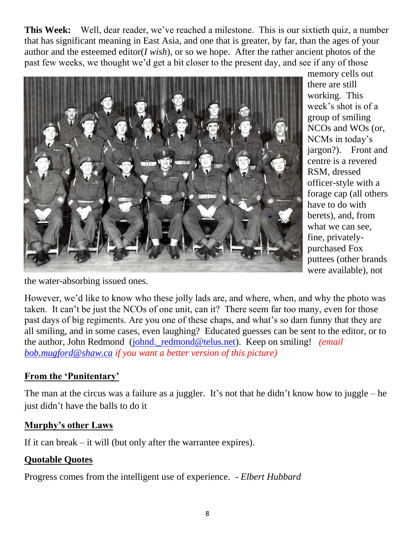**This Week:** Well, dear reader, we've reached a milestone. This is our sixtieth quiz, a number that has significant meaning in East Asia, and one that is greater, by far, than the ages of your author and the esteemed editor(*I wish*), or so we hope. After the rather ancient photos of the past few weeks, we thought we'd get a bit closer to the present day, and see if any of those



memory cells out there are still working. This week's shot is of a group of smiling NCOs and WOs (or, NCMs in today's jargon?). Front and centre is a revered RSM, dressed officer-style with a forage cap (all others have to do with berets), and, from what we can see, fine, privatelypurchased Fox puttees (other brands were available), not

the water-absorbing issued ones.

However, we'd like to know who these jolly lads are, and where, when, and why the photo was taken. It can't be just the NCOs of one unit, can it? There seem far too many, even for those past days of big regiments. Are you one of these chaps, and what's so darn funny that they are all smiling, and in some cases, even laughing? Educated guesses can be sent to the editor, or to the author, John Redmond (johnd. redmond@telus.net). Keep on smiling! *(email in*) *[bob.mugford@shaw.ca](mailto:bob.mugford@shaw.ca) if you want a better version of this picture)*

## **From the 'Punitentary'**

The man at the circus was a failure as a juggler. It's not that he didn't know how to juggle – he just didn't have the balls to do it

## **Murphy's other Laws**

If it can break – it will (but only after the warrantee expires).

## **Quotable Quotes**

Progress comes from the intelligent use of experience. *- Elbert Hubbard*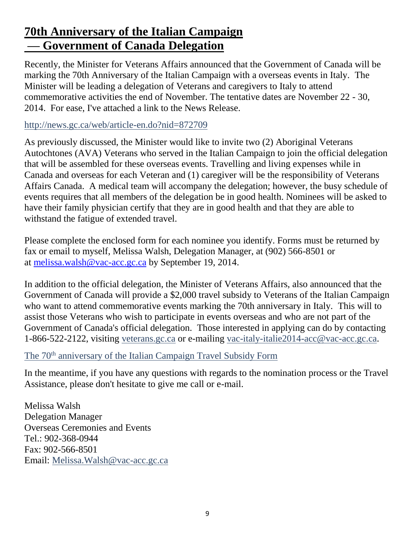# **70th Anniversary of the Italian Campaign — Government of Canada Delegation**

Recently, the Minister for Veterans Affairs announced that the Government of Canada will be marking the 70th Anniversary of the Italian Campaign with a overseas events in Italy. The Minister will be leading a delegation of Veterans and caregivers to Italy to attend commemorative activities the end of November. The tentative dates are November 22 - 30, 2014. For ease, I've attached a link to the News Release.

### <http://news.gc.ca/web/article-en.do?nid=872709>

As previously discussed, the Minister would like to invite two (2) Aboriginal Veterans Autochtones (AVA) Veterans who served in the Italian Campaign to join the official delegation that will be assembled for these overseas events. Travelling and living expenses while in Canada and overseas for each Veteran and (1) caregiver will be the responsibility of Veterans Affairs Canada. A medical team will accompany the delegation; however, the busy schedule of events requires that all members of the delegation be in good health. Nominees will be asked to have their family physician certify that they are in good health and that they are able to withstand the fatigue of extended travel.

Please complete the enclosed form for each nominee you identify. Forms must be returned by fax or email to myself, Melissa Walsh, Delegation Manager, at (902) 566-8501 or at [melissa.walsh@vac-acc.gc.ca](mailto:melissa.walsh@vac-acc.gc.ca) by September 19, 2014.

In addition to the official delegation, the Minister of Veterans Affairs, also announced that the Government of Canada will provide a \$2,000 travel subsidy to Veterans of the Italian Campaign who want to attend commemorative events marking the 70th anniversary in Italy. This will to assist those Veterans who wish to participate in events overseas and who are not part of the Government of Canada's official delegation. Those interested in applying can do by contacting 1-866-522-2122, visiting [veterans.gc.ca](http://veterans.gc.ca/) or e-mailing [vac-italy-italie2014-acc@vac-acc.gc.ca.](mailto:vac-italy-italie2014-acc@vac-acc.gc.ca)

### The 70<sup>th</sup> [anniversary of the Italian Campaign Travel Subsidy Form](http://www.veterans.gc.ca/eng/remembrance/history/second-world-war/italian-campaign/70th-anniversary/travel-assistance)

In the meantime, if you have any questions with regards to the nomination process or the Travel Assistance, please don't hesitate to give me call or e-mail.

Melissa Walsh Delegation Manager Overseas Ceremonies and Events Tel.: 902-368-0944 Fax: 902-566-8501 Email: [Melissa.Walsh@vac-acc.gc.ca](mailto:Melissa.Walsh@vac-acc.gc.ca)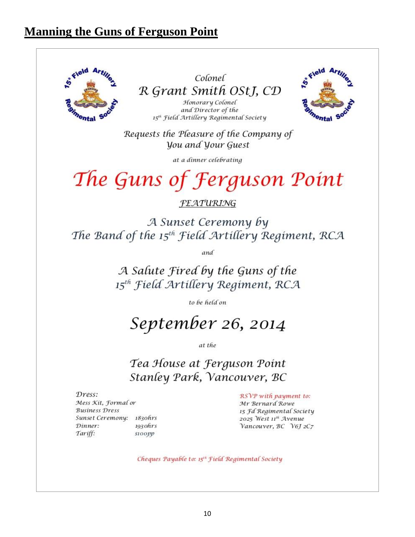## **Manning the Guns of Ferguson Point**

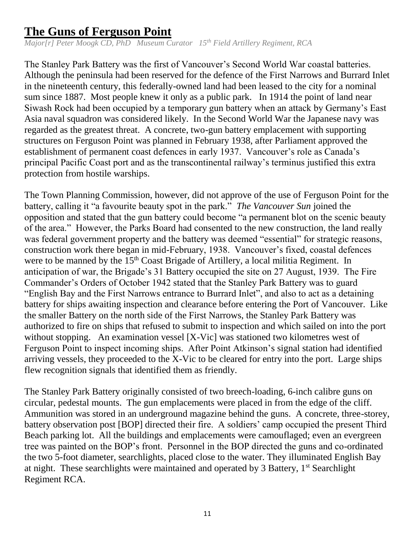## **The Guns of Ferguson Point**

*Major[r] Peter Moogk CD, PhD Museum Curator 15th Field Artillery Regiment, RCA*

The Stanley Park Battery was the first of Vancouver's Second World War coastal batteries. Although the peninsula had been reserved for the defence of the First Narrows and Burrard Inlet in the nineteenth century, this federally-owned land had been leased to the city for a nominal sum since 1887. Most people knew it only as a public park. In 1914 the point of land near Siwash Rock had been occupied by a temporary gun battery when an attack by Germany's East Asia naval squadron was considered likely. In the Second World War the Japanese navy was regarded as the greatest threat. A concrete, two-gun battery emplacement with supporting structures on Ferguson Point was planned in February 1938, after Parliament approved the establishment of permanent coast defences in early 1937. Vancouver's role as Canada's principal Pacific Coast port and as the transcontinental railway's terminus justified this extra protection from hostile warships.

The Town Planning Commission, however, did not approve of the use of Ferguson Point for the battery, calling it "a favourite beauty spot in the park." *The Vancouver Sun* joined the opposition and stated that the gun battery could become "a permanent blot on the scenic beauty of the area." However, the Parks Board had consented to the new construction, the land really was federal government property and the battery was deemed "essential" for strategic reasons, construction work there began in mid-February, 1938. Vancouver's fixed, coastal defences were to be manned by the 15<sup>th</sup> Coast Brigade of Artillery, a local militia Regiment. In anticipation of war, the Brigade's 31 Battery occupied the site on 27 August, 1939. The Fire Commander's Orders of October 1942 stated that the Stanley Park Battery was to guard "English Bay and the First Narrows entrance to Burrard Inlet", and also to act as a detaining battery for ships awaiting inspection and clearance before entering the Port of Vancouver. Like the smaller Battery on the north side of the First Narrows, the Stanley Park Battery was authorized to fire on ships that refused to submit to inspection and which sailed on into the port without stopping. An examination vessel [X-Vic] was stationed two kilometres west of Ferguson Point to inspect incoming ships. After Point Atkinson's signal station had identified arriving vessels, they proceeded to the X-Vic to be cleared for entry into the port. Large ships flew recognition signals that identified them as friendly.

The Stanley Park Battery originally consisted of two breech-loading, 6-inch calibre guns on circular, pedestal mounts. The gun emplacements were placed in from the edge of the cliff. Ammunition was stored in an underground magazine behind the guns. A concrete, three-storey, battery observation post [BOP] directed their fire. A soldiers' camp occupied the present Third Beach parking lot. All the buildings and emplacements were camouflaged; even an evergreen tree was painted on the BOP's front. Personnel in the BOP directed the guns and co-ordinated the two 5-foot diameter, searchlights, placed close to the water. They illuminated English Bay at night. These searchlights were maintained and operated by 3 Battery, 1st Searchlight Regiment RCA.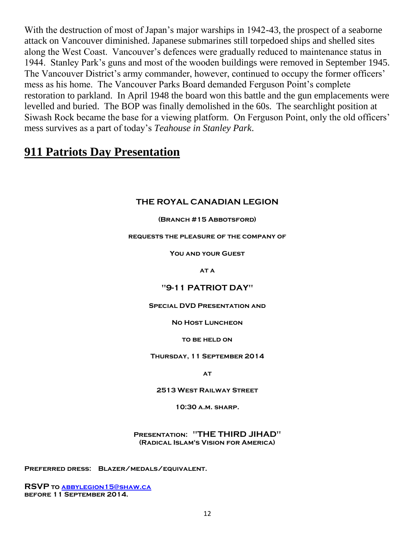With the destruction of most of Japan's major warships in 1942-43, the prospect of a seaborne attack on Vancouver diminished. Japanese submarines still torpedoed ships and shelled sites along the West Coast. Vancouver's defences were gradually reduced to maintenance status in 1944. Stanley Park's guns and most of the wooden buildings were removed in September 1945. The Vancouver District's army commander, however, continued to occupy the former officers' mess as his home. The Vancouver Parks Board demanded Ferguson Point's complete restoration to parkland. In April 1948 the board won this battle and the gun emplacements were levelled and buried. The BOP was finally demolished in the 60s. The searchlight position at Siwash Rock became the base for a viewing platform. On Ferguson Point, only the old officers' mess survives as a part of today's *Teahouse in Stanley Park*.

## **911 Patriots Day Presentation**

### **THE ROYAL CANADIAN LEGION**

**(Branch #15 Abbotsford)**

#### **requests the pleasure of the company of**

**You and your Guest**

**at a**

#### **"9-11 PATRIOT DAY"**

#### **Special DVD Presentation and**

#### **No Host Luncheon**

#### **to be held on**

**Thursday, 11 September 2014**

**at**

**2513 West Railway Street**

**10:30 a.m. sharp.**

**Presentation: "THE THIRD JIHAD" (Radical Islam's Vision for America)**

**Preferred dress: Blazer/medals/equivalent.**

**RSVP t[o abbylegion15@shaw.ca](mailto:abbylegion15@shaw.ca) before 11 September 2014.**